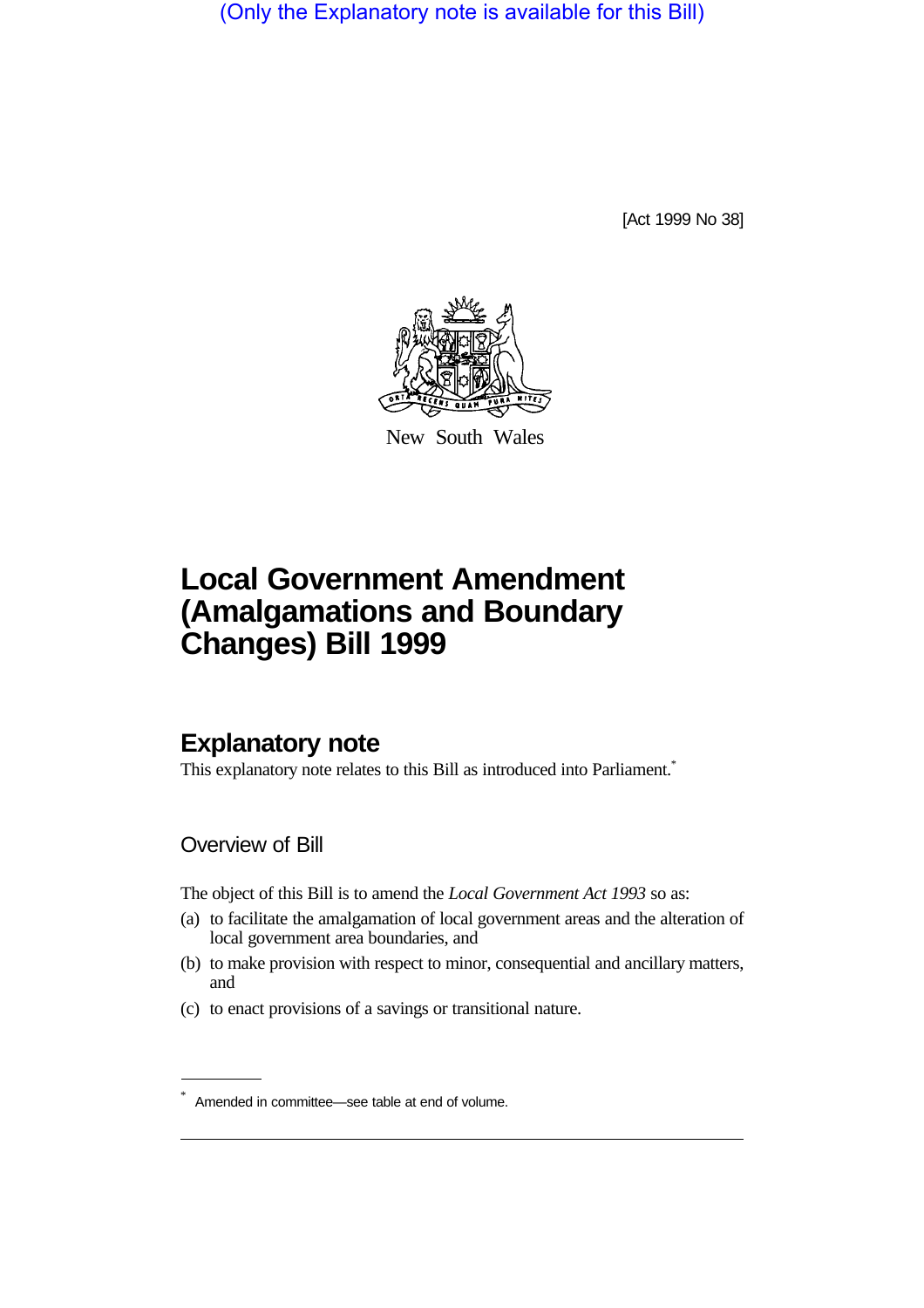(Only the Explanatory note is available for this Bill)

[Act 1999 No 38]



New South Wales

# **Local Government Amendment (Amalgamations and Boundary Changes) Bill 1999**

## **Explanatory note**

This explanatory note relates to this Bill as introduced into Parliament.<sup>\*</sup>

Overview of Bill

The object of this Bill is to amend the *Local Government Act 1993* so as:

- (a) to facilitate the amalgamation of local government areas and the alteration of local government area boundaries, and
- (b) to make provision with respect to minor, consequential and ancillary matters, and
- (c) to enact provisions of a savings or transitional nature.

<sup>\*</sup> Amended in committee—see table at end of volume.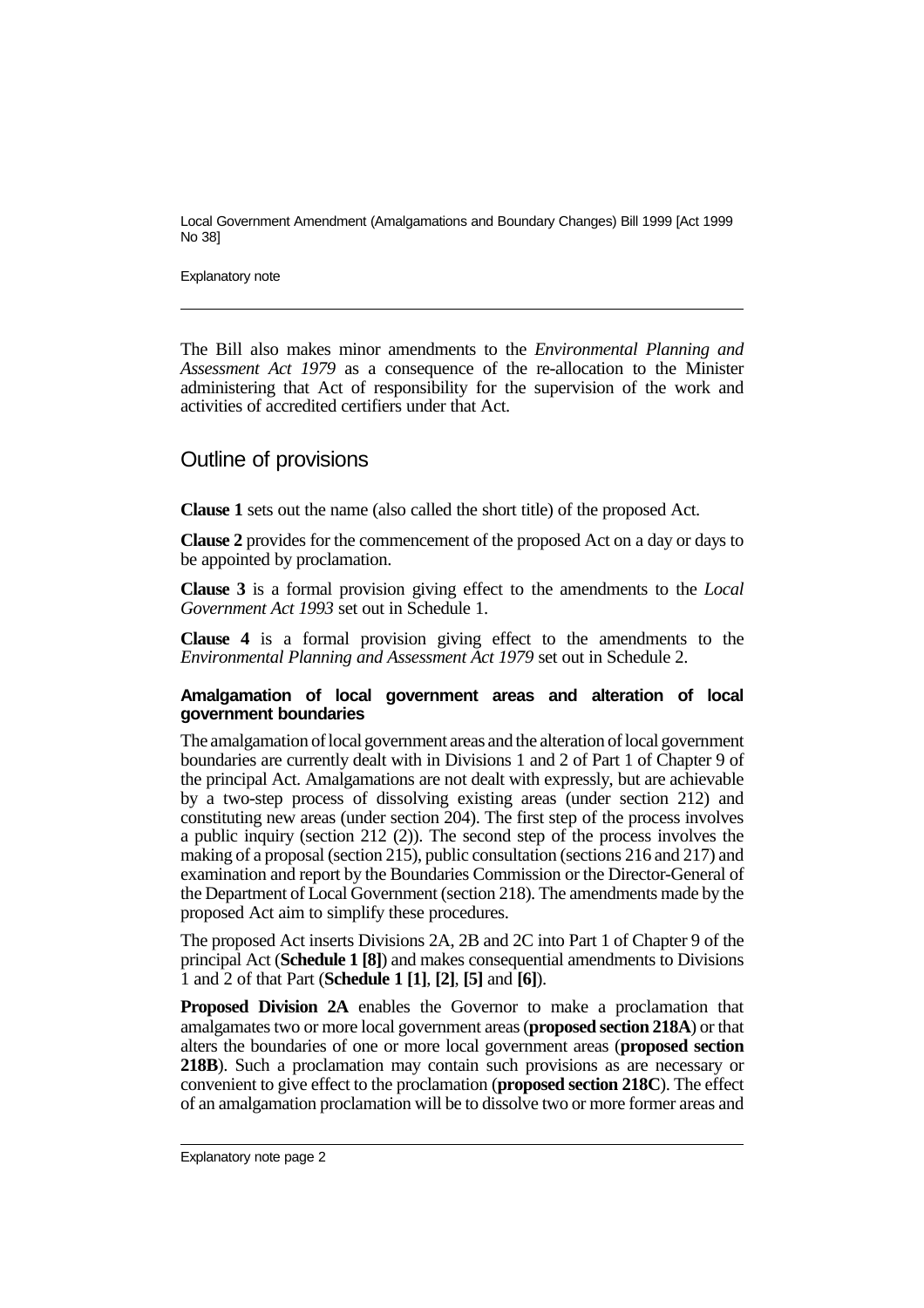Explanatory note

The Bill also makes minor amendments to the *Environmental Planning and Assessment Act 1979* as a consequence of the re-allocation to the Minister administering that Act of responsibility for the supervision of the work and activities of accredited certifiers under that Act.

### Outline of provisions

**Clause 1** sets out the name (also called the short title) of the proposed Act.

**Clause 2** provides for the commencement of the proposed Act on a day or days to be appointed by proclamation.

**Clause 3** is a formal provision giving effect to the amendments to the *Local Government Act 1993* set out in Schedule 1.

**Clause 4** is a formal provision giving effect to the amendments to the *Environmental Planning and Assessment Act 1979* set out in Schedule 2.

#### **Amalgamation of local government areas and alteration of local government boundaries**

The amalgamation of local government areas and the alteration of local government boundaries are currently dealt with in Divisions 1 and 2 of Part 1 of Chapter 9 of the principal Act. Amalgamations are not dealt with expressly, but are achievable by a two-step process of dissolving existing areas (under section 212) and constituting new areas (under section 204). The first step of the process involves a public inquiry (section 212 (2)). The second step of the process involves the making of a proposal (section 215), public consultation (sections 216 and 217) and examination and report by the Boundaries Commission or the Director-General of the Department of Local Government (section 218). The amendments made by the proposed Act aim to simplify these procedures.

The proposed Act inserts Divisions 2A, 2B and 2C into Part 1 of Chapter 9 of the principal Act (**Schedule 1 [8]**) and makes consequential amendments to Divisions 1 and 2 of that Part (**Schedule 1 [1]**, **[2]**, **[5]** and **[6]**).

**Proposed Division 2A** enables the Governor to make a proclamation that amalgamates two or more local government areas (**proposed section 218A**) or that alters the boundaries of one or more local government areas (**proposed section 218B**). Such a proclamation may contain such provisions as are necessary or convenient to give effect to the proclamation (**proposed section 218C**). The effect of an amalgamation proclamation will be to dissolve two or more former areas and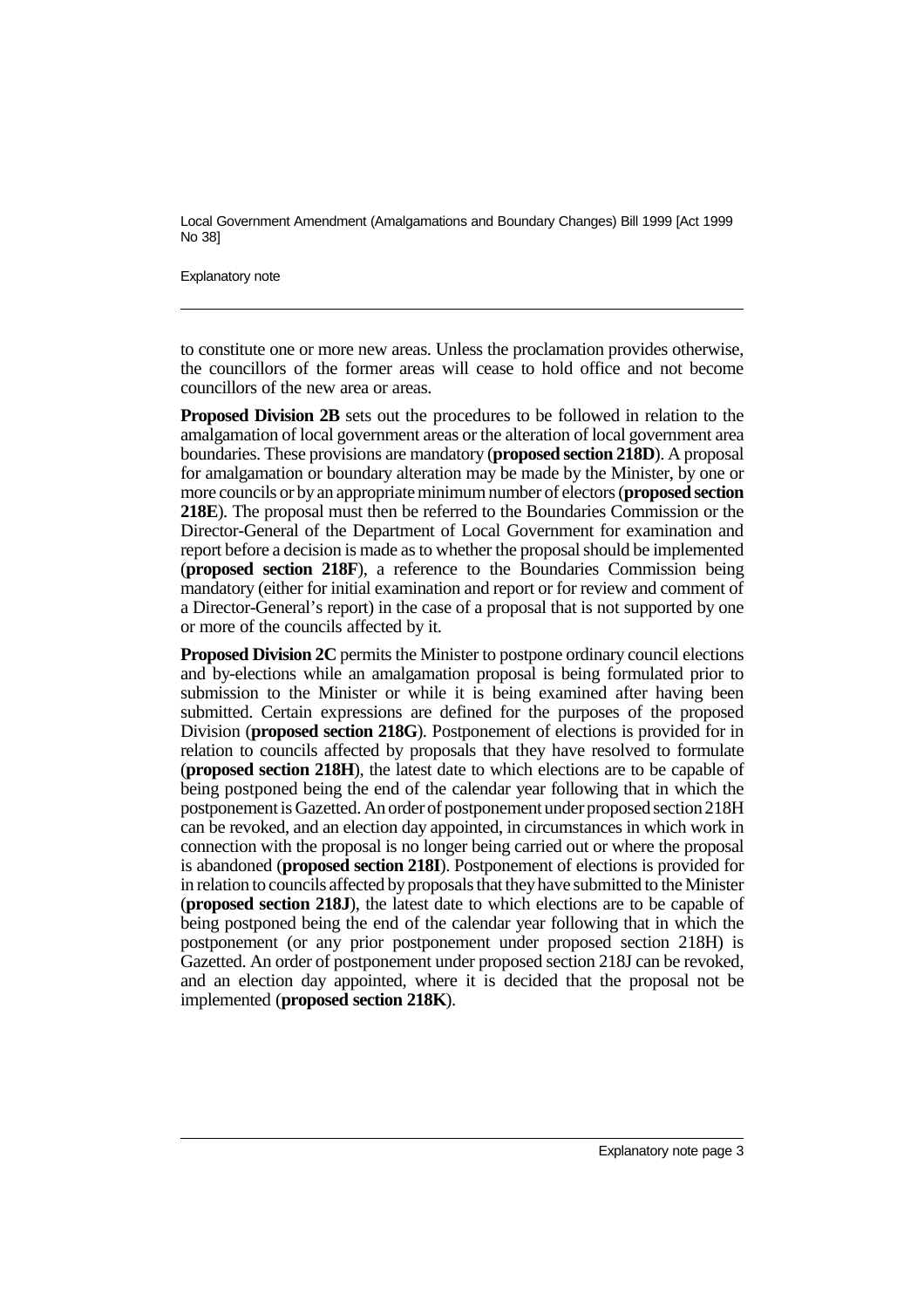Explanatory note

to constitute one or more new areas. Unless the proclamation provides otherwise, the councillors of the former areas will cease to hold office and not become councillors of the new area or areas.

**Proposed Division 2B** sets out the procedures to be followed in relation to the amalgamation of local government areas or the alteration of local government area boundaries. These provisions are mandatory (**proposed section 218D**). A proposal for amalgamation or boundary alteration may be made by the Minister, by one or more councils or by an appropriate minimum number of electors (**proposed section 218E**). The proposal must then be referred to the Boundaries Commission or the Director-General of the Department of Local Government for examination and report before a decision is made as to whether the proposal should be implemented (**proposed section 218F**), a reference to the Boundaries Commission being mandatory (either for initial examination and report or for review and comment of a Director-General's report) in the case of a proposal that is not supported by one or more of the councils affected by it.

**Proposed Division 2C** permits the Minister to postpone ordinary council elections and by-elections while an amalgamation proposal is being formulated prior to submission to the Minister or while it is being examined after having been submitted. Certain expressions are defined for the purposes of the proposed Division (**proposed section 218G**). Postponement of elections is provided for in relation to councils affected by proposals that they have resolved to formulate (**proposed section 218H**), the latest date to which elections are to be capable of being postponed being the end of the calendar year following that in which the postponement is Gazetted. An order of postponement under proposed section 218H can be revoked, and an election day appointed, in circumstances in which work in connection with the proposal is no longer being carried out or where the proposal is abandoned (**proposed section 218I**). Postponement of elections is provided for in relation to councils affected by proposals that they have submitted to the Minister (**proposed section 218J**), the latest date to which elections are to be capable of being postponed being the end of the calendar year following that in which the postponement (or any prior postponement under proposed section 218H) is Gazetted. An order of postponement under proposed section 218J can be revoked, and an election day appointed, where it is decided that the proposal not be implemented (**proposed section 218K**).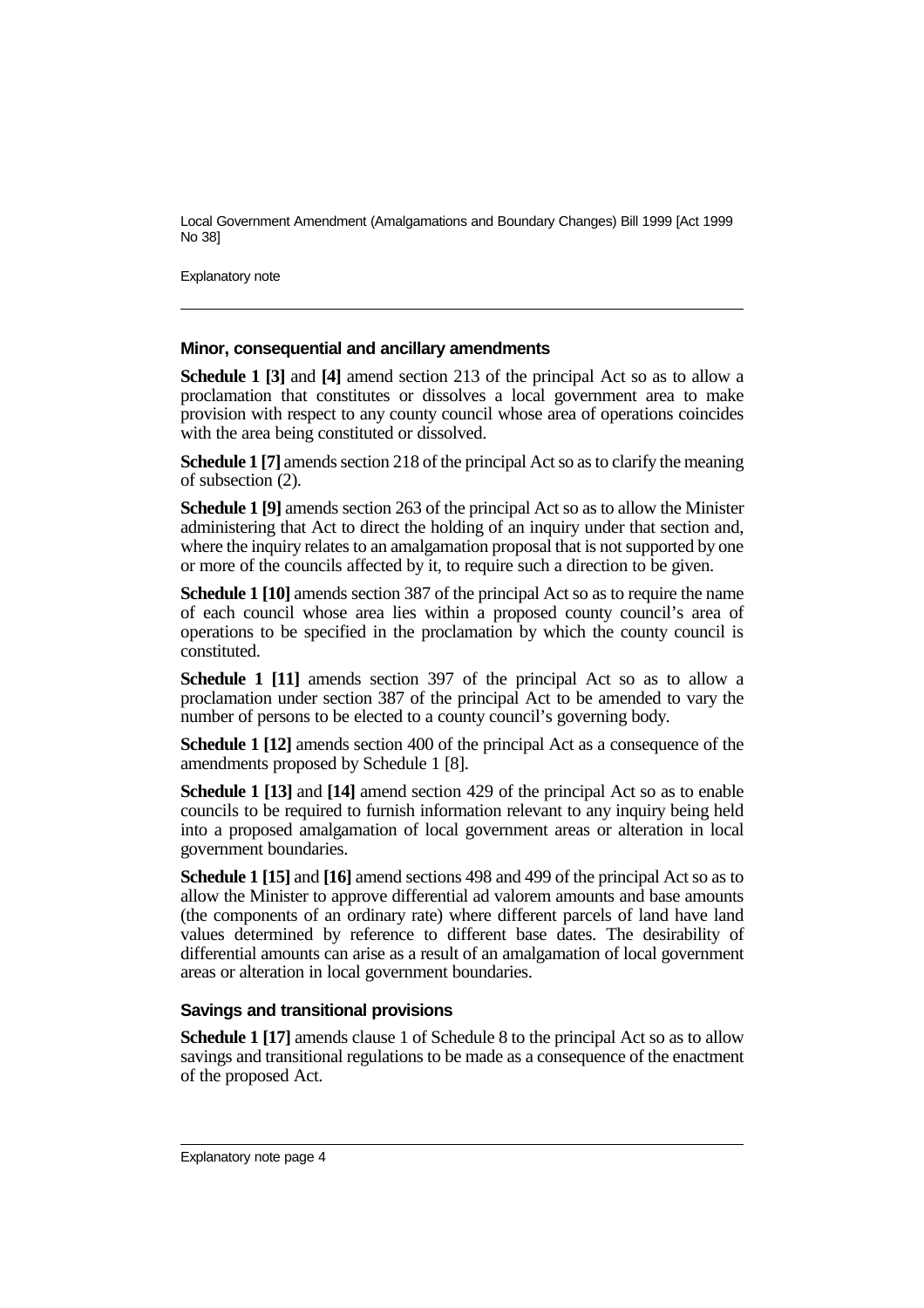Explanatory note

#### **Minor, consequential and ancillary amendments**

**Schedule 1 [3]** and **[4]** amend section 213 of the principal Act so as to allow a proclamation that constitutes or dissolves a local government area to make provision with respect to any county council whose area of operations coincides with the area being constituted or dissolved.

**Schedule 1 [7]** amends section 218 of the principal Act so as to clarify the meaning of subsection (2).

**Schedule 1 [9]** amends section 263 of the principal Act so as to allow the Minister administering that Act to direct the holding of an inquiry under that section and, where the inquiry relates to an amalgamation proposal that is not supported by one or more of the councils affected by it, to require such a direction to be given.

**Schedule 1 [10]** amends section 387 of the principal Act so as to require the name of each council whose area lies within a proposed county council's area of operations to be specified in the proclamation by which the county council is constituted.

**Schedule 1 [11]** amends section 397 of the principal Act so as to allow a proclamation under section 387 of the principal Act to be amended to vary the number of persons to be elected to a county council's governing body.

**Schedule 1 [12]** amends section 400 of the principal Act as a consequence of the amendments proposed by Schedule 1 [8].

**Schedule 1 [13]** and **[14]** amend section 429 of the principal Act so as to enable councils to be required to furnish information relevant to any inquiry being held into a proposed amalgamation of local government areas or alteration in local government boundaries.

**Schedule 1 [15]** and **[16]** amend sections 498 and 499 of the principal Act so as to allow the Minister to approve differential ad valorem amounts and base amounts (the components of an ordinary rate) where different parcels of land have land values determined by reference to different base dates. The desirability of differential amounts can arise as a result of an amalgamation of local government areas or alteration in local government boundaries.

#### **Savings and transitional provisions**

**Schedule 1 [17]** amends clause 1 of Schedule 8 to the principal Act so as to allow savings and transitional regulations to be made as a consequence of the enactment of the proposed Act.